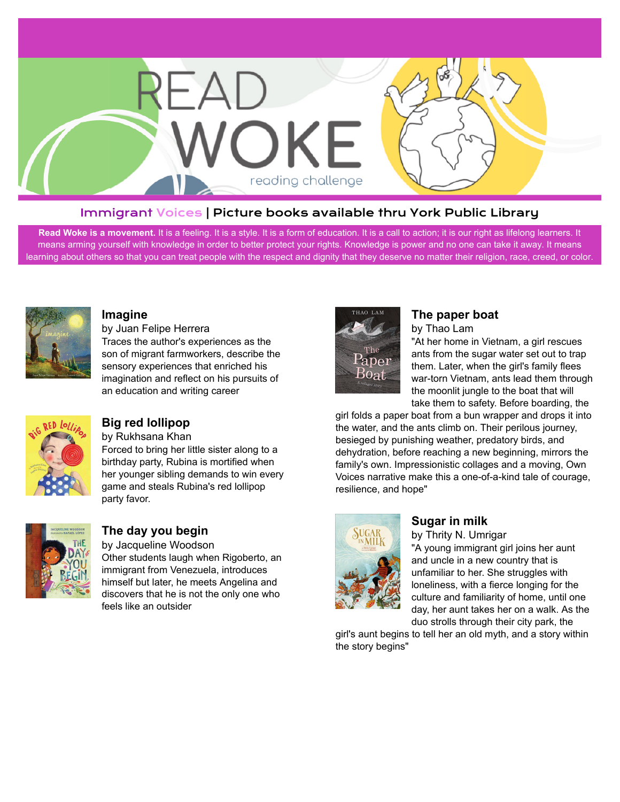

#### Immigrant Voices | Picture books available thru York Public Library

Read Woke is a movement. It is a feeling. It is a style. It is a form of education. It is a call to action; it is our right as lifelong learners. It means arming yourself with knowledge in order to better protect your rights. Knowledge is power and no one can take it away. It means learning about others so that you can treat people with the respect and dignity that they deserve no matter their religion, race, creed, or color.



#### **[Imagine](https://libraryaware.com/26R719)**

by Juan Felipe Herrera Traces the author's experiences as the son of migrant farmworkers, describe the sensory experiences that enriched his imagination and reflect on his pursuits of an education and writing career



### **[Big red lollipop](https://libraryaware.com/26R71A)**

by Rukhsana Khan Forced to bring her little sister along to a birthday party, Rubina is mortified when her younger sibling demands to win every game and steals Rubina's red lollipop party favor.



#### **[The day you begin](https://libraryaware.com/26R71B)** by Jacqueline Woodson

Other students laugh when Rigoberto, an

immigrant from Venezuela, introduces himself but later, he meets Angelina and discovers that he is not the only one who feels like an outsider



#### **[The paper boat](https://libraryaware.com/26R71C)**

by Thao Lam

"At her home in Vietnam, a girl rescues ants from the sugar water set out to trap them. Later, when the girl's family flees war-torn Vietnam, ants lead them through the moonlit jungle to the boat that will take them to safety. Before boarding, the

girl folds a paper boat from a bun wrapper and drops it into the water, and the ants climb on. Their perilous journey, besieged by punishing weather, predatory birds, and dehydration, before reaching a new beginning, mirrors the family's own. Impressionistic collages and a moving, Own Voices narrative make this a one-of-a-kind tale of courage, resilience, and hope"



### **[Sugar in milk](https://libraryaware.com/26R71D)**

by Thrity N. Umrigar "A young immigrant girl joins her aunt and uncle in a new country that is unfamiliar to her. She struggles with loneliness, with a fierce longing for the culture and familiarity of home, until one day, her aunt takes her on a walk. As the duo strolls through their city park, the

girl's aunt begins to tell her an old myth, and a story within the story begins"